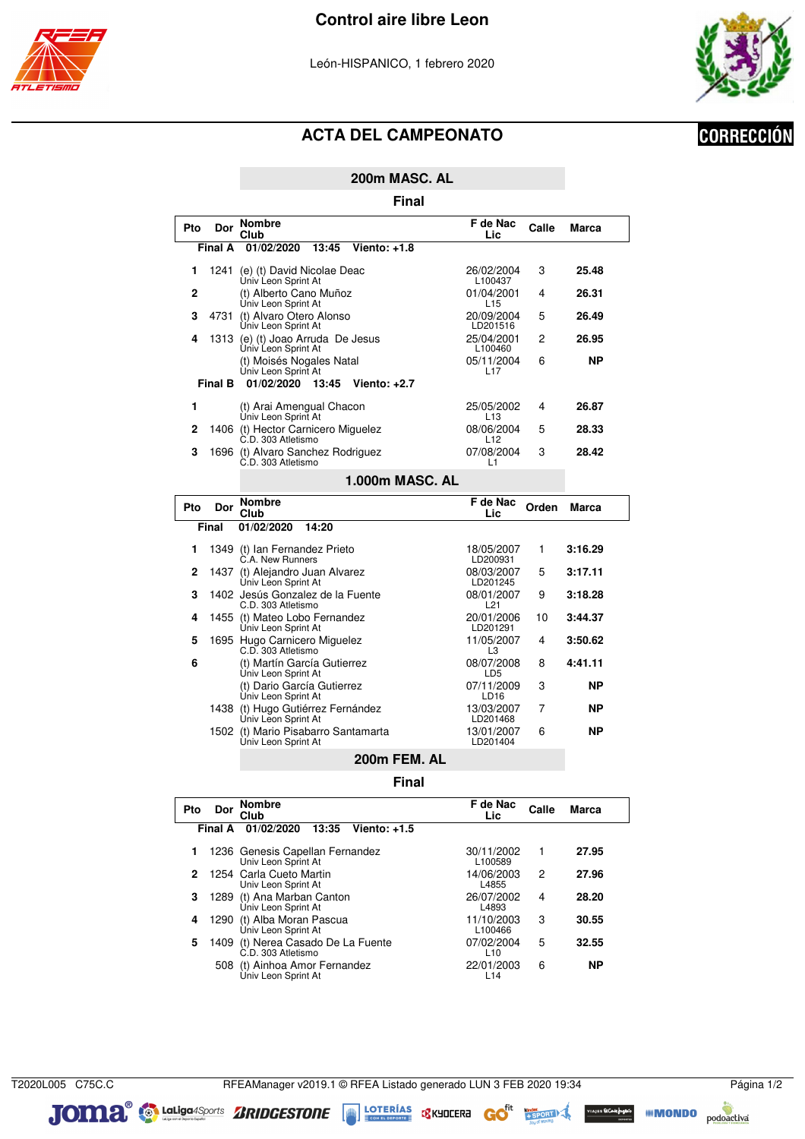





### **ACTA DEL CAMPEONATO**

# **CORRECCIÓN**

**200m MASC. AL**

**Final**

| Pto     | Dor     | <b>Nombre</b><br>Club                                    | F de Nac<br>Lic.              | Calle | Marca |
|---------|---------|----------------------------------------------------------|-------------------------------|-------|-------|
|         | Final A | 01/02/2020<br>13:45<br>Viento: +1.8                      |                               |       |       |
|         | 1241    | (e) (t) David Nicolae Deac<br>Ùniv Leon Sprint At        | 26/02/2004<br>L100437         | 3     | 25.48 |
| 2       |         | (t) Alberto Cano Muñoz<br>Univ Leon Sprint At            | 01/04/2001<br>L <sub>15</sub> | 4     | 26.31 |
| 3       | 4731    | (t) Alvaro Otero Alonso<br>Univ Leon Sprint At           | 20/09/2004<br>LD201516        | 5     | 26.49 |
| 4       | 1313    | (e) (t) Joao Arruda De Jesus<br>Univ Leon Sprint At      | 25/04/2001<br>L100460         | 2     | 26.95 |
|         |         | (t) Moisés Nogales Natal<br>Univ Leon Sprint At          | 05/11/2004<br>L <sub>17</sub> | 6     | ΝP    |
| Final B |         | 01/02/2020<br>13:45<br>Viento: $+2.7$                    |                               |       |       |
|         |         | (t) Arai Amengual Chacon<br>Univ Leon Sprint At          | 25/05/2002<br>L <sub>13</sub> | 4     | 26.87 |
| 2       |         | 1406 (t) Hector Carnicero Miguelez<br>C.D. 303 Atletismo | 08/06/2004<br>L12             | 5     | 28.33 |
| 3       | 1696    | (t) Alvaro Sanchez Rodriguez<br>C.D. 303 Atletismo       | 07/08/2004<br>L1              | 3     | 28.42 |
|         |         |                                                          |                               |       |       |

#### **1.000m MASC. AL**

| Pto | Dor   | <b>Nombre</b><br>Club                                  | F de Nac<br>Lic                | Orden | Marca   |
|-----|-------|--------------------------------------------------------|--------------------------------|-------|---------|
|     | Final | 01/02/2020<br>14:20                                    |                                |       |         |
| 1   |       | 1349 (t) Ian Fernandez Prieto<br>C.A. New Runners      | 18/05/2007<br>LD200931         | 1     | 3:16.29 |
| 2   | 1437  | (t) Alejandro Juan Alvarez<br>Univ Leon Sprint At      | 08/03/2007<br>LD201245         | 5     | 3:17.11 |
| 3   |       | 1402 Jesús Gonzalez de la Fuente<br>C.D. 303 Atletismo | 08/01/2007<br>L21              | 9     | 3:18.28 |
| 4   | 1455  | (t) Mateo Lobo Fernandez<br>Univ Leon Sprint At        | 20/01/2006<br>LD201291         | 10    | 3:44.37 |
| 5   |       | 1695 Hugo Carnicero Miguelez<br>C.D. 303 Atletismo     | 11/05/2007<br>L3               | 4     | 3:50.62 |
| 6   |       | (t) Martín García Gutierrez<br>Univ Leon Sprint At     | 08/07/2008<br>LD <sub>5</sub>  | 8     | 4:41.11 |
|     |       | (t) Dario García Gutierrez<br>Univ Leon Sprint At      | 07/11/2009<br>LD <sub>16</sub> | 3     | ΝP      |
|     | 1438  | (t) Hugo Gutiérrez Fernández<br>Univ Leon Sprint At    | 13/03/2007<br>LD201468         | 7     | ΝP      |
|     | 1502  | (t) Mario Pisabarro Santamarta<br>Univ Leon Sprint At  | 13/01/2007<br>LD201404         | 6     | NP.     |
|     |       | 200m FEM. AL                                           |                                |       |         |

**Final**

| Pto | Dor     | <b>Nombre</b><br>Club                                    | F de Nac<br>Lic               | Calle          | <b>Marca</b> |
|-----|---------|----------------------------------------------------------|-------------------------------|----------------|--------------|
|     | Final A | 01/02/2020<br>13:35<br>Viento: $+1.5$                    |                               |                |              |
| 1   |         | 1236 Genesis Capellan Fernandez<br>Univ Leon Sprint At   | 30/11/2002<br>L100589         | 1              | 27.95        |
| 2   |         | 1254 Carla Cueto Martin<br>Univ Leon Sprint At           | 14/06/2003<br>L4855           | $\overline{c}$ | 27.96        |
| 3   |         | 1289 (t) Ana Marban Canton<br>Univ Leon Sprint At        | 26/07/2002<br>L4893           | 4              | 28.20        |
| 4   |         | 1290 (t) Alba Moran Pascua<br>Univ Leon Sprint At        | 11/10/2003<br>L100466         | 3              | 30.55        |
| 5   |         | 1409 (t) Nerea Casado De La Fuente<br>C.D. 303 Atletismo | 07/02/2004<br>L <sub>10</sub> | 5              | 32.55        |
|     | 508     | (t) Ainhoa Amor Fernandez<br>Univ Leon Sprint At         | 22/01/2003<br>L14             | 6              | ΝP           |

JOMA Guliga4Sports ZRIDGESTONE **SINGLESS** SKYDEERE GO<sup>ft</sup>

**EXPRESSION DO POdoactiva**